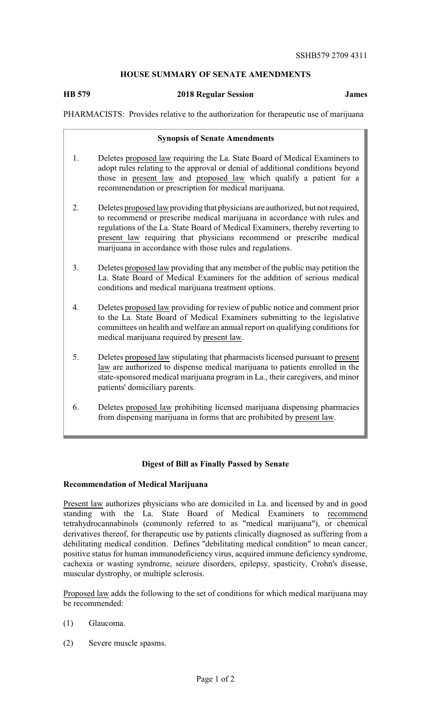# **HOUSE SUMMARY OF SENATE AMENDMENTS**

## **HB 579 2018 Regular Session James**

PHARMACISTS: Provides relative to the authorization for therapeutic use of marijuana

#### **Synopsis of Senate Amendments**

- 1. Deletes proposed law requiring the La. State Board of Medical Examiners to adopt rules relating to the approval or denial of additional conditions beyond those in present law and proposed law which qualify a patient for a recommendation or prescription for medical marijuana.
- 2. Deletes proposed law providing that physicians are authorized, but not required, to recommend or prescribe medical marijuana in accordance with rules and regulations of the La. State Board of Medical Examiners, thereby reverting to present law requiring that physicians recommend or prescribe medical marijuana in accordance with those rules and regulations.
- 3. Deletes proposed law providing that anymember of the public may petition the La. State Board of Medical Examiners for the addition of serious medical conditions and medical marijuana treatment options.
- 4. Deletes proposed law providing for review of public notice and comment prior to the La. State Board of Medical Examiners submitting to the legislative committees on health and welfare an annual report on qualifying conditions for medical marijuana required by present law.
- 5. Deletes proposed law stipulating that pharmacists licensed pursuant to present law are authorized to dispense medical marijuana to patients enrolled in the state-sponsored medical marijuana program in La., their caregivers, and minor patients' domiciliary parents.
- 6. Deletes proposed law prohibiting licensed marijuana dispensing pharmacies from dispensing marijuana in forms that are prohibited by present law.

### **Digest of Bill as Finally Passed by Senate**

### **Recommendation of Medical Marijuana**

Present law authorizes physicians who are domiciled in La. and licensed by and in good standing with the La. State Board of Medical Examiners to recommend tetrahydrocannabinols (commonly referred to as "medical marijuana"), or chemical derivatives thereof, for therapeutic use by patients clinically diagnosed as suffering from a debilitating medical condition. Defines "debilitating medical condition" to mean cancer, positive status for human immunodeficiency virus, acquired immune deficiency syndrome, cachexia or wasting syndrome, seizure disorders, epilepsy, spasticity, Crohn's disease, muscular dystrophy, or multiple sclerosis.

Proposed law adds the following to the set of conditions for which medical marijuana may be recommended:

- (1) Glaucoma.
- (2) Severe muscle spasms.